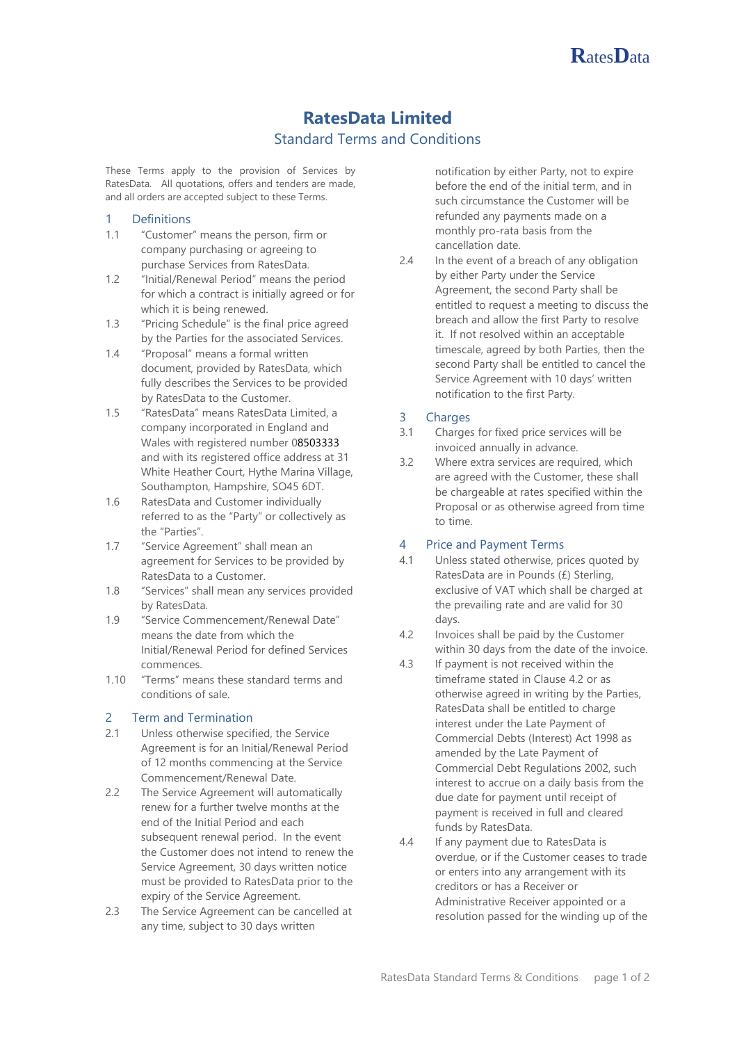

# **RatesData Limited**

# Standard Terms and Conditions

These Terms apply to the provision of Services by RatesData. All quotations, offers and tenders are made, and all orders are accepted subject to these Terms.

#### 1 Definitions

- 1.1 "Customer" means the person, firm or company purchasing or agreeing to purchase Services from RatesData.
- 1.2 "Initial/Renewal Period" means the period for which a contract is initially agreed or for which it is being renewed.
- 1.3 "Pricing Schedule" is the final price agreed by the Parties for the associated Services.
- 1.4 "Proposal" means a formal written document, provided by RatesData, which fully describes the Services to be provided by RatesData to the Customer.
- 1.5 "RatesData" means RatesData Limited, a company incorporated in England and Wales with registered number 08503333 and with its registered office address at 31 White Heather Court, Hythe Marina Village, Southampton, Hampshire, SO45 6DT.
- 1.6 RatesData and Customer individually referred to as the "Party" or collectively as the "Parties".
- 1.7 "Service Agreement" shall mean an agreement for Services to be provided by RatesData to a Customer.
- 1.8 "Services" shall mean any services provided by RatesData.
- 1.9 "Service Commencement/Renewal Date" means the date from which the Initial/Renewal Period for defined Services commences.
- 1.10 "Terms" means these standard terms and conditions of sale.

#### 2 Term and Termination

- 2.1 Unless otherwise specified, the Service Agreement is for an Initial/Renewal Period of 12 months commencing at the Service Commencement/Renewal Date.
- 2.2 The Service Agreement will automatically renew for a further twelve months at the end of the Initial Period and each subsequent renewal period. In the event the Customer does not intend to renew the Service Agreement, 30 days written notice must be provided to RatesData prior to the expiry of the Service Agreement.
- 2.3 The Service Agreement can be cancelled at any time, subject to 30 days written

notification by either Party, not to expire before the end of the initial term, and in such circumstance the Customer will be refunded any payments made on a monthly pro-rata basis from the cancellation date.

2.4 In the event of a breach of any obligation by either Party under the Service Agreement, the second Party shall be entitled to request a meeting to discuss the breach and allow the first Party to resolve it. If not resolved within an acceptable timescale, agreed by both Parties, then the second Party shall be entitled to cancel the Service Agreement with 10 days' written notification to the first Party.

# 3 Charges

- 3.1 Charges for fixed price services will be invoiced annually in advance.
- 3.2 Where extra services are required, which are agreed with the Customer, these shall be chargeable at rates specified within the Proposal or as otherwise agreed from time to time.

# 4 Price and Payment Terms

- 4.1 Unless stated otherwise, prices quoted by RatesData are in Pounds (£) Sterling, exclusive of VAT which shall be charged at the prevailing rate and are valid for 30 days.
- 4.2 Invoices shall be paid by the Customer within 30 days from the date of the invoice.
- 4.3 If payment is not received within the timeframe stated in Clause 4.2 or as otherwise agreed in writing by the Parties, RatesData shall be entitled to charge interest under the Late Payment of Commercial Debts (Interest) Act 1998 as amended by the Late Payment of Commercial Debt Regulations 2002, such interest to accrue on a daily basis from the due date for payment until receipt of payment is received in full and cleared funds by RatesData.
- 4.4 If any payment due to RatesData is overdue, or if the Customer ceases to trade or enters into any arrangement with its creditors or has a Receiver or Administrative Receiver appointed or a resolution passed for the winding up of the